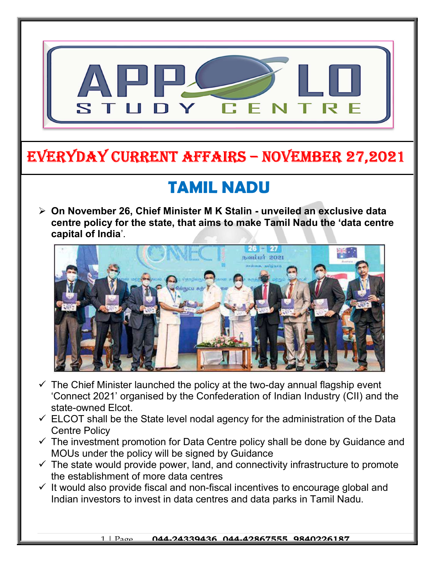

### EVERYDAY CURRENT AFFAIRS – NOVEMBER 27,2021

-

# TAMIL NADU

 On November 26, Chief Minister M K Stalin - unveiled an exclusive data centre policy for the state, that aims to make Tamil Nadu the 'data centre capital of India'.



- $\checkmark$  The Chief Minister launched the policy at the two-day annual flagship event 'Connect 2021' organised by the Confederation of Indian Industry (CII) and the state-owned Elcot.
- $\checkmark$  ELCOT shall be the State level nodal agency for the administration of the Data Centre Policy
- $\checkmark$  The investment promotion for Data Centre policy shall be done by Guidance and MOUs under the policy will be signed by Guidance
- $\checkmark$  The state would provide power, land, and connectivity infrastructure to promote the establishment of more data centres
- $\checkmark$  It would also provide fiscal and non-fiscal incentives to encourage global and Indian investors to invest in data centres and data parks in Tamil Nadu.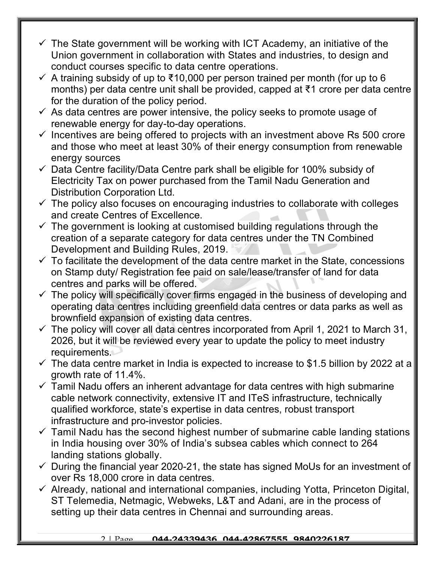- $\checkmark$  The State government will be working with ICT Academy, an initiative of the Union government in collaboration with States and industries, to design and conduct courses specific to data centre operations.
- $\checkmark$  A training subsidy of up to ₹10,000 per person trained per month (for up to 6 months) per data centre unit shall be provided, capped at ₹1 crore per data centre for the duration of the policy period.
- $\checkmark$  As data centres are power intensive, the policy seeks to promote usage of renewable energy for day-to-day operations.
- $\checkmark$  Incentives are being offered to projects with an investment above Rs 500 crore and those who meet at least 30% of their energy consumption from renewable energy sources
- $\checkmark$  Data Centre facility/Data Centre park shall be eligible for 100% subsidy of Electricity Tax on power purchased from the Tamil Nadu Generation and Distribution Corporation Ltd.
- $\checkmark$  The policy also focuses on encouraging industries to collaborate with colleges and create Centres of Excellence.
- $\checkmark$  The government is looking at customised building regulations through the creation of a separate category for data centres under the TN Combined Development and Building Rules, 2019.
- $\checkmark$  To facilitate the development of the data centre market in the State, concessions on Stamp duty/ Registration fee paid on sale/lease/transfer of land for data centres and parks will be offered.
- $\checkmark$  The policy will specifically cover firms engaged in the business of developing and operating data centres including greenfield data centres or data parks as well as brownfield expansion of existing data centres.
- $\checkmark$  The policy will cover all data centres incorporated from April 1, 2021 to March 31, 2026, but it will be reviewed every year to update the policy to meet industry requirements.
- $\checkmark$  The data centre market in India is expected to increase to \$1.5 billion by 2022 at a growth rate of 11.4%.
- $\checkmark$  Tamil Nadu offers an inherent advantage for data centres with high submarine cable network connectivity, extensive IT and ITeS infrastructure, technically qualified workforce, state's expertise in data centres, robust transport infrastructure and pro-investor policies.
- $\checkmark$  Tamil Nadu has the second highest number of submarine cable landing stations in India housing over 30% of India's subsea cables which connect to 264 landing stations globally.
- $\checkmark$  During the financial year 2020-21, the state has signed MoUs for an investment of over Rs 18,000 crore in data centres.
- $\checkmark$  Already, national and international companies, including Yotta, Princeton Digital, ST Telemedia, Netmagic, Webweks, L&T and Adani, are in the process of setting up their data centres in Chennai and surrounding areas.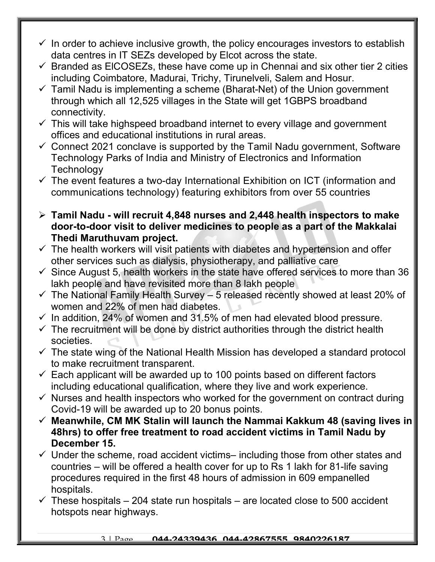- $\checkmark$  In order to achieve inclusive growth, the policy encourages investors to establish data centres in IT SEZs developed by Elcot across the state.
- $\checkmark$  Branded as EICOSEZs, these have come up in Chennai and six other tier 2 cities including Coimbatore, Madurai, Trichy, Tirunelveli, Salem and Hosur.
- $\checkmark$  Tamil Nadu is implementing a scheme (Bharat-Net) of the Union government through which all 12,525 villages in the State will get 1GBPS broadband connectivity.
- $\checkmark$  This will take highspeed broadband internet to every village and government offices and educational institutions in rural areas.
- $\checkmark$  Connect 2021 conclave is supported by the Tamil Nadu government, Software Technology Parks of India and Ministry of Electronics and Information **Technology**
- $\checkmark$  The event features a two-day International Exhibition on ICT (information and communications technology) featuring exhibitors from over 55 countries
- $\ge$  Tamil Nadu will recruit 4,848 nurses and 2,448 health inspectors to make door-to-door visit to deliver medicines to people as a part of the Makkalai Thedi Maruthuvam project.
- $\checkmark$  The health workers will visit patients with diabetes and hypertension and offer other services such as dialysis, physiotherapy, and palliative care
- $\checkmark$  Since August 5, health workers in the state have offered services to more than 36 lakh people and have revisited more than 8 lakh people
- $\checkmark$  The National Family Health Survey 5 released recently showed at least 20% of women and 22% of men had diabetes.
- $\checkmark$  In addition, 24% of women and 31.5% of men had elevated blood pressure.
- $\checkmark$  The recruitment will be done by district authorities through the district health societies.
- $\checkmark$  The state wing of the National Health Mission has developed a standard protocol to make recruitment transparent.
- $\checkmark$  Each applicant will be awarded up to 100 points based on different factors including educational qualification, where they live and work experience.
- $\checkmark$  Nurses and health inspectors who worked for the government on contract during Covid-19 will be awarded up to 20 bonus points.
- $\checkmark$  Meanwhile, CM MK Stalin will launch the Nammai Kakkum 48 (saving lives in 48hrs) to offer free treatment to road accident victims in Tamil Nadu by December 15.
- $\checkmark$  Under the scheme, road accident victims– including those from other states and countries – will be offered a health cover for up to Rs 1 lakh for 81-life saving procedures required in the first 48 hours of admission in 609 empanelled hospitals.
- $\checkmark$  These hospitals 204 state run hospitals are located close to 500 accident hotspots near highways.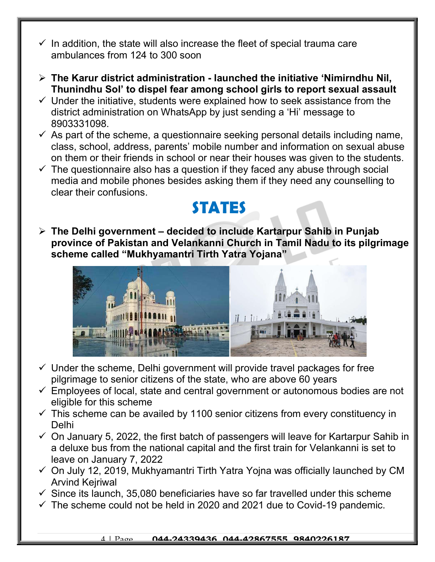- $\checkmark$  In addition, the state will also increase the fleet of special trauma care ambulances from 124 to 300 soon
- $\triangleright$  The Karur district administration launched the initiative 'Nimirndhu Nil, Thunindhu Sol' to dispel fear among school girls to report sexual assault
- $\checkmark$  Under the initiative, students were explained how to seek assistance from the district administration on WhatsApp by just sending a 'Hi' message to 8903331098.
- $\checkmark$  As part of the scheme, a questionnaire seeking personal details including name, class, school, address, parents' mobile number and information on sexual abuse on them or their friends in school or near their houses was given to the students.
- $\checkmark$  The questionnaire also has a question if they faced any abuse through social media and mobile phones besides asking them if they need any counselling to clear their confusions.

#### STATES

 $\triangleright$  The Delhi government – decided to include Kartarpur Sahib in Punjab province of Pakistan and Velankanni Church in Tamil Nadu to its pilgrimage scheme called "Mukhyamantri Tirth Yatra Yojana"



- $\checkmark$  Under the scheme, Delhi government will provide travel packages for free pilgrimage to senior citizens of the state, who are above 60 years
- $\checkmark$  Employees of local, state and central government or autonomous bodies are not eligible for this scheme
- $\checkmark$  This scheme can be availed by 1100 senior citizens from every constituency in Delhi
- $\checkmark$  On January 5, 2022, the first batch of passengers will leave for Kartarpur Sahib in a deluxe bus from the national capital and the first train for Velankanni is set to leave on January 7, 2022
- $\checkmark$  On July 12, 2019, Mukhyamantri Tirth Yatra Yojna was officially launched by CM Arvind Kejriwal
- $\checkmark$  Since its launch, 35,080 beneficiaries have so far travelled under this scheme
- $\checkmark$  The scheme could not be held in 2020 and 2021 due to Covid-19 pandemic.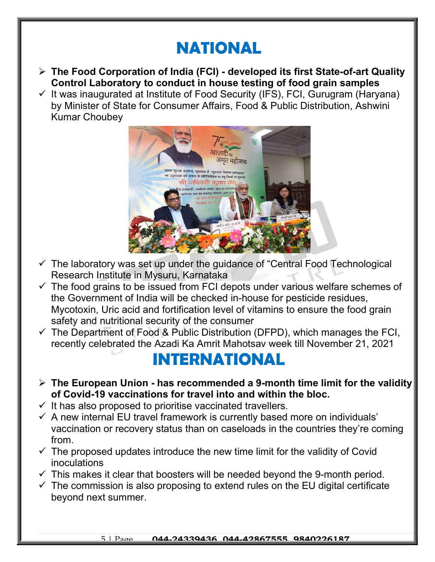## NATIONAL

- $\triangleright$  The Food Corporation of India (FCI) developed its first State-of-art Quality Control Laboratory to conduct in house testing of food grain samples
- $\checkmark$  It was inaugurated at Institute of Food Security (IFS), FCI, Gurugram (Haryana) by Minister of State for Consumer Affairs, Food & Public Distribution, Ashwini Kumar Choubey



- $\checkmark$  The laboratory was set up under the quidance of "Central Food Technological Research Institute in Mysuru, Karnataka
- $\checkmark$  The food grains to be issued from FCI depots under various welfare schemes of the Government of India will be checked in-house for pesticide residues, Mycotoxin, Uric acid and fortification level of vitamins to ensure the food grain safety and nutritional security of the consumer
- $\checkmark$  The Department of Food & Public Distribution (DFPD), which manages the FCI, recently celebrated the Azadi Ka Amrit Mahotsav week till November 21, 2021

#### INTERNATIONAL

- $\triangleright$  The European Union has recommended a 9-month time limit for the validity of Covid-19 vaccinations for travel into and within the bloc.
- $\checkmark$  It has also proposed to prioritise vaccinated travellers.
- $\checkmark$  A new internal EU travel framework is currently based more on individuals' vaccination or recovery status than on caseloads in the countries they're coming from.
- $\checkmark$  The proposed updates introduce the new time limit for the validity of Covid inoculations
- $\checkmark$  This makes it clear that boosters will be needed beyond the 9-month period.
- $\checkmark$  The commission is also proposing to extend rules on the EU digital certificate beyond next summer.